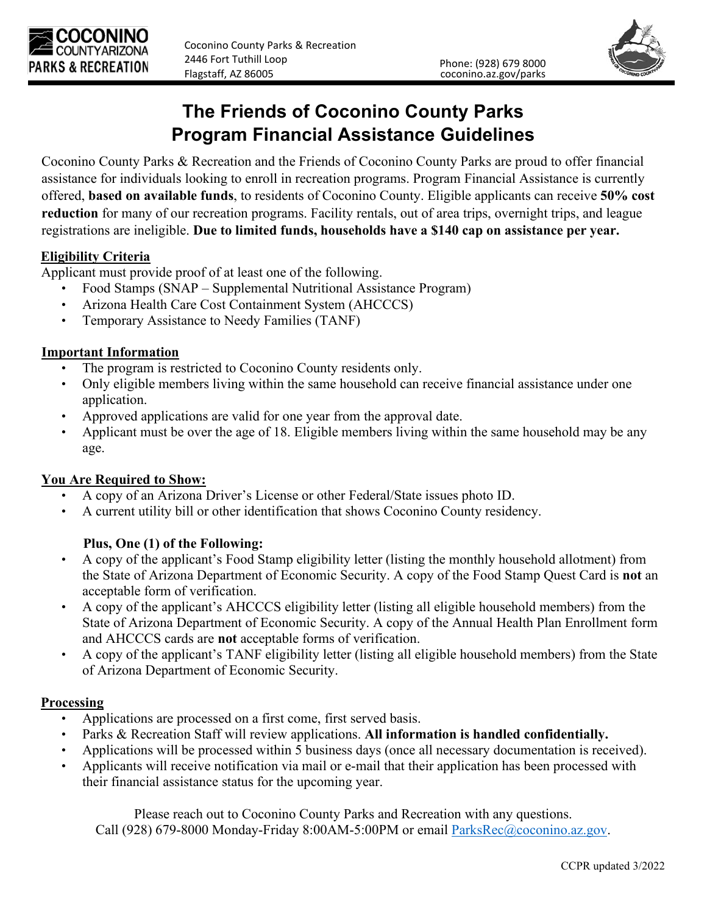



# **The Friends of Coconino County Parks Program Financial Assistance Guidelines**

Coconino County Parks & Recreation and the Friends of Coconino County Parks are proud to offer financial assistance for individuals looking to enroll in recreation programs. Program Financial Assistance is currently offered, **based on available funds**, to residents of Coconino County. Eligible applicants can receive **50% cost reduction** for many of our recreation programs. Facility rentals, out of area trips, overnight trips, and league registrations are ineligible. **Due to limited funds, households have a \$140 cap on assistance per year.**

#### **Eligibility Criteria**

Applicant must provide proof of at least one of the following.

- Food Stamps (SNAP Supplemental Nutritional Assistance Program)
- Arizona Health Care Cost Containment System (AHCCCS)
- Temporary Assistance to Needy Families (TANF)

#### **Important Information**

- The program is restricted to Coconino County residents only.
- Only eligible members living within the same household can receive financial assistance under one application.
- Approved applications are valid for one year from the approval date.
- Applicant must be over the age of 18. Eligible members living within the same household may be any age.

### **You Are Required to Show:**

- A copy of an Arizona Driver's License or other Federal/State issues photo ID.
- A current utility bill or other identification that shows Coconino County residency.

### **Plus, One (1) of the Following:**

- A copy of the applicant's Food Stamp eligibility letter (listing the monthly household allotment) from the State of Arizona Department of Economic Security. A copy of the Food Stamp Quest Card is **not** an acceptable form of verification.
- A copy of the applicant's AHCCCS eligibility letter (listing all eligible household members) from the State of Arizona Department of Economic Security. A copy of the Annual Health Plan Enrollment form and AHCCCS cards are **not** acceptable forms of verification.
- A copy of the applicant's TANF eligibility letter (listing all eligible household members) from the State of Arizona Department of Economic Security.

#### **Processing**

- Applications are processed on a first come, first served basis.
- Parks & Recreation Staff will review applications. **All information is handled confidentially.**
- Applications will be processed within 5 business days (once all necessary documentation is received).
- Applicants will receive notification via mail or e-mail that their application has been processed with their financial assistance status for the upcoming year.

Please reach out to Coconino County Parks and Recreation with any questions. Call (928) 679-8000 Monday-Friday 8:00AM-5:00PM or email [ParksRec@coconino.az.gov.](mailto:ParksRec@coconino.az.gov)